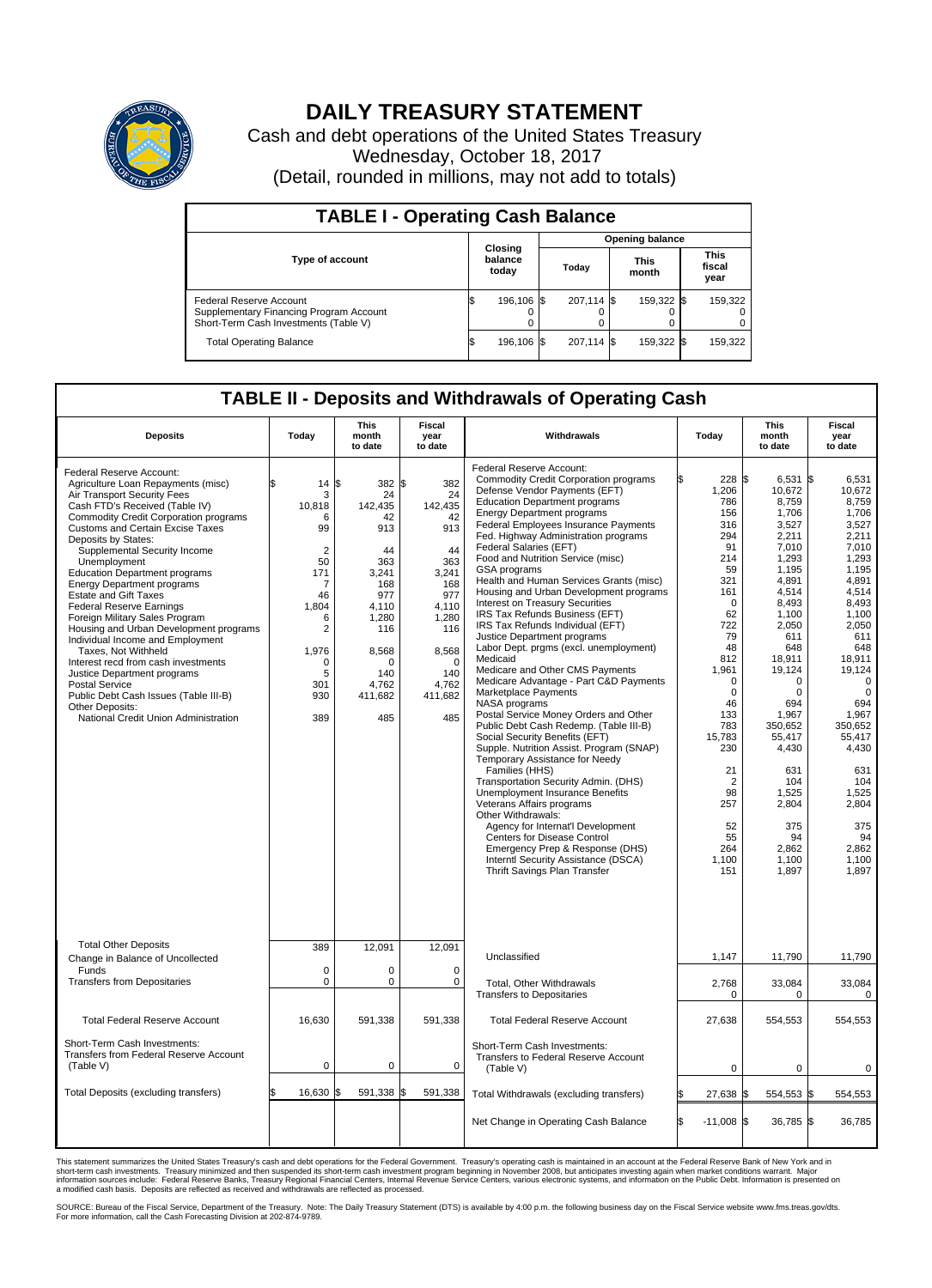

## **DAILY TREASURY STATEMENT**

Cash and debt operations of the United States Treasury Wednesday, October 18, 2017 (Detail, rounded in millions, may not add to totals)

| <b>TABLE I - Operating Cash Balance</b>                                                                     |    |                             |  |                        |  |                      |  |                               |  |  |  |
|-------------------------------------------------------------------------------------------------------------|----|-----------------------------|--|------------------------|--|----------------------|--|-------------------------------|--|--|--|
|                                                                                                             |    |                             |  | <b>Opening balance</b> |  |                      |  |                               |  |  |  |
| <b>Type of account</b>                                                                                      |    | Closing<br>balance<br>today |  | Today                  |  | <b>This</b><br>month |  | <b>This</b><br>fiscal<br>year |  |  |  |
| Federal Reserve Account<br>Supplementary Financing Program Account<br>Short-Term Cash Investments (Table V) |    | 196.106 \$                  |  | 207,114 \$             |  | 159,322 \$           |  | 159,322                       |  |  |  |
| <b>Total Operating Balance</b>                                                                              | ıъ | 196,106 \$                  |  | 207,114 \$             |  | 159,322 \$           |  | 159,322                       |  |  |  |

## **TABLE II - Deposits and Withdrawals of Operating Cash**

| <b>Deposits</b>                                                                                                                                                                                                                                                                                                                                                                                                                                                                                                                                                                                                                                                                                                                                                                      | Today                                                                                                                                                          | <b>This</b><br>month<br>to date                                                                                                                                 | <b>Fiscal</b><br>year<br>to date                                                                                                                      | Withdrawals                                                                                                                                                                                                                                                                                                                                                                                                                                                                                                                                                                                                                                                                                                                                                                                                                                                                                                                                                                                                                                                                                                                                                                                                                                                                                     | Today                                                                                                                                                                                                                                                                           | <b>This</b><br>month<br>to date                                                                                                                                                                                                                                                                      | <b>Fiscal</b><br>year<br>to date                                                                                                                                                                                                                                                                                         |
|--------------------------------------------------------------------------------------------------------------------------------------------------------------------------------------------------------------------------------------------------------------------------------------------------------------------------------------------------------------------------------------------------------------------------------------------------------------------------------------------------------------------------------------------------------------------------------------------------------------------------------------------------------------------------------------------------------------------------------------------------------------------------------------|----------------------------------------------------------------------------------------------------------------------------------------------------------------|-----------------------------------------------------------------------------------------------------------------------------------------------------------------|-------------------------------------------------------------------------------------------------------------------------------------------------------|-------------------------------------------------------------------------------------------------------------------------------------------------------------------------------------------------------------------------------------------------------------------------------------------------------------------------------------------------------------------------------------------------------------------------------------------------------------------------------------------------------------------------------------------------------------------------------------------------------------------------------------------------------------------------------------------------------------------------------------------------------------------------------------------------------------------------------------------------------------------------------------------------------------------------------------------------------------------------------------------------------------------------------------------------------------------------------------------------------------------------------------------------------------------------------------------------------------------------------------------------------------------------------------------------|---------------------------------------------------------------------------------------------------------------------------------------------------------------------------------------------------------------------------------------------------------------------------------|------------------------------------------------------------------------------------------------------------------------------------------------------------------------------------------------------------------------------------------------------------------------------------------------------|--------------------------------------------------------------------------------------------------------------------------------------------------------------------------------------------------------------------------------------------------------------------------------------------------------------------------|
| Federal Reserve Account:<br>Agriculture Loan Repayments (misc)<br>Air Transport Security Fees<br>Cash FTD's Received (Table IV)<br><b>Commodity Credit Corporation programs</b><br><b>Customs and Certain Excise Taxes</b><br>Deposits by States:<br>Supplemental Security Income<br>Unemployment<br><b>Education Department programs</b><br><b>Energy Department programs</b><br><b>Estate and Gift Taxes</b><br><b>Federal Reserve Earnings</b><br>Foreign Military Sales Program<br>Housing and Urban Development programs<br>Individual Income and Employment<br>Taxes, Not Withheld<br>Interest recd from cash investments<br>Justice Department programs<br>Postal Service<br>Public Debt Cash Issues (Table III-B)<br>Other Deposits:<br>National Credit Union Administration | \$<br>14<br>3<br>10,818<br>6<br>99<br>$\overline{2}$<br>50<br>171<br>7<br>46<br>1.804<br>6<br>$\overline{2}$<br>1,976<br>$\mathbf 0$<br>5<br>301<br>930<br>389 | 382 \$<br>1\$<br>24<br>142.435<br>42<br>913<br>44<br>363<br>3.241<br>168<br>977<br>4,110<br>1,280<br>116<br>8,568<br>$\Omega$<br>140<br>4,762<br>411,682<br>485 | 382<br>24<br>142,435<br>42<br>913<br>44<br>363<br>3.241<br>168<br>977<br>4.110<br>1,280<br>116<br>8,568<br>$\Omega$<br>140<br>4,762<br>411,682<br>485 | Federal Reserve Account:<br><b>Commodity Credit Corporation programs</b><br>Defense Vendor Payments (EFT)<br><b>Education Department programs</b><br><b>Energy Department programs</b><br>Federal Employees Insurance Payments<br>Fed. Highway Administration programs<br>Federal Salaries (EFT)<br>Food and Nutrition Service (misc)<br>GSA programs<br>Health and Human Services Grants (misc)<br>Housing and Urban Development programs<br>Interest on Treasury Securities<br>IRS Tax Refunds Business (EFT)<br>IRS Tax Refunds Individual (EFT)<br>Justice Department programs<br>Labor Dept. prgms (excl. unemployment)<br>Medicaid<br>Medicare and Other CMS Payments<br>Medicare Advantage - Part C&D Payments<br>Marketplace Payments<br>NASA programs<br>Postal Service Money Orders and Other<br>Public Debt Cash Redemp. (Table III-B)<br>Social Security Benefits (EFT)<br>Supple. Nutrition Assist. Program (SNAP)<br>Temporary Assistance for Needy<br>Families (HHS)<br>Transportation Security Admin. (DHS)<br>Unemployment Insurance Benefits<br>Veterans Affairs programs<br>Other Withdrawals:<br>Agency for Internat'l Development<br>Centers for Disease Control<br>Emergency Prep & Response (DHS)<br>Interntl Security Assistance (DSCA)<br>Thrift Savings Plan Transfer | 228 \$<br>1,206<br>786<br>156<br>316<br>294<br>91<br>214<br>59<br>321<br>161<br>$\mathbf 0$<br>62<br>722<br>79<br>48<br>812<br>1,961<br>$\mathbf 0$<br>$\mathbf 0$<br>46<br>133<br>783<br>15,783<br>230<br>21<br>$\overline{2}$<br>98<br>257<br>52<br>55<br>264<br>1,100<br>151 | 6,531<br>10,672<br>8,759<br>1,706<br>3,527<br>2,211<br>7,010<br>1,293<br>1,195<br>4,891<br>4,514<br>8,493<br>1,100<br>2,050<br>611<br>648<br>18,911<br>19,124<br>0<br>$\Omega$<br>694<br>1,967<br>350.652<br>55,417<br>4,430<br>631<br>104<br>1,525<br>2,804<br>375<br>94<br>2,862<br>1,100<br>1,897 | l\$<br>6.531<br>10,672<br>8,759<br>1,706<br>3,527<br>2,211<br>7.010<br>1,293<br>1,195<br>4.891<br>4,514<br>8,493<br>1,100<br>2,050<br>611<br>648<br>18,911<br>19,124<br>$\mathbf 0$<br>$\mathbf 0$<br>694<br>1,967<br>350.652<br>55,417<br>4,430<br>631<br>104<br>1,525<br>2,804<br>375<br>94<br>2,862<br>1,100<br>1,897 |
| <b>Total Other Deposits</b><br>Change in Balance of Uncollected                                                                                                                                                                                                                                                                                                                                                                                                                                                                                                                                                                                                                                                                                                                      | 389                                                                                                                                                            | 12,091                                                                                                                                                          | 12,091                                                                                                                                                | Unclassified                                                                                                                                                                                                                                                                                                                                                                                                                                                                                                                                                                                                                                                                                                                                                                                                                                                                                                                                                                                                                                                                                                                                                                                                                                                                                    | 1,147                                                                                                                                                                                                                                                                           | 11,790                                                                                                                                                                                                                                                                                               | 11,790                                                                                                                                                                                                                                                                                                                   |
| Funds<br><b>Transfers from Depositaries</b>                                                                                                                                                                                                                                                                                                                                                                                                                                                                                                                                                                                                                                                                                                                                          | $\mathbf 0$<br>$\mathbf 0$                                                                                                                                     | 0<br>0                                                                                                                                                          | $\mathbf 0$<br>$\mathbf 0$                                                                                                                            | <b>Total, Other Withdrawals</b><br><b>Transfers to Depositaries</b>                                                                                                                                                                                                                                                                                                                                                                                                                                                                                                                                                                                                                                                                                                                                                                                                                                                                                                                                                                                                                                                                                                                                                                                                                             | 2,768<br>$\mathbf 0$                                                                                                                                                                                                                                                            | 33,084<br>$\Omega$                                                                                                                                                                                                                                                                                   | 33,084<br>$\mathbf 0$                                                                                                                                                                                                                                                                                                    |
| <b>Total Federal Reserve Account</b>                                                                                                                                                                                                                                                                                                                                                                                                                                                                                                                                                                                                                                                                                                                                                 | 16,630                                                                                                                                                         | 591,338                                                                                                                                                         | 591,338                                                                                                                                               | <b>Total Federal Reserve Account</b>                                                                                                                                                                                                                                                                                                                                                                                                                                                                                                                                                                                                                                                                                                                                                                                                                                                                                                                                                                                                                                                                                                                                                                                                                                                            | 27,638                                                                                                                                                                                                                                                                          | 554,553                                                                                                                                                                                                                                                                                              | 554,553                                                                                                                                                                                                                                                                                                                  |
| Short-Term Cash Investments:<br>Transfers from Federal Reserve Account<br>(Table V)                                                                                                                                                                                                                                                                                                                                                                                                                                                                                                                                                                                                                                                                                                  | $\pmb{0}$                                                                                                                                                      | 0                                                                                                                                                               | 0                                                                                                                                                     | Short-Term Cash Investments:<br>Transfers to Federal Reserve Account<br>(Table V)                                                                                                                                                                                                                                                                                                                                                                                                                                                                                                                                                                                                                                                                                                                                                                                                                                                                                                                                                                                                                                                                                                                                                                                                               | $\mathbf 0$                                                                                                                                                                                                                                                                     | 0                                                                                                                                                                                                                                                                                                    | 0                                                                                                                                                                                                                                                                                                                        |
| Total Deposits (excluding transfers)                                                                                                                                                                                                                                                                                                                                                                                                                                                                                                                                                                                                                                                                                                                                                 | 16,630                                                                                                                                                         | 591,338                                                                                                                                                         | \$<br>591,338                                                                                                                                         | Total Withdrawals (excluding transfers)                                                                                                                                                                                                                                                                                                                                                                                                                                                                                                                                                                                                                                                                                                                                                                                                                                                                                                                                                                                                                                                                                                                                                                                                                                                         | \$<br>27,638                                                                                                                                                                                                                                                                    | 554,553 \$<br>I\$                                                                                                                                                                                                                                                                                    | 554,553                                                                                                                                                                                                                                                                                                                  |
|                                                                                                                                                                                                                                                                                                                                                                                                                                                                                                                                                                                                                                                                                                                                                                                      |                                                                                                                                                                |                                                                                                                                                                 |                                                                                                                                                       | Net Change in Operating Cash Balance                                                                                                                                                                                                                                                                                                                                                                                                                                                                                                                                                                                                                                                                                                                                                                                                                                                                                                                                                                                                                                                                                                                                                                                                                                                            | l\$<br>$-11,008$ \$                                                                                                                                                                                                                                                             | 36,785 \$                                                                                                                                                                                                                                                                                            | 36,785                                                                                                                                                                                                                                                                                                                   |

This statement summarizes the United States Treasury's cash and debt operations for the Federal Government. Treasury's operating cash is maintained in an account at the Federal Reserve Bank of New York and in<br>short-term ca

SOURCE: Bureau of the Fiscal Service, Department of the Treasury. Note: The Daily Treasury Statement (DTS) is available by 4:00 p.m. the following business day on the Fiscal Service website www.fms.treas.gov/dts.<br>For more